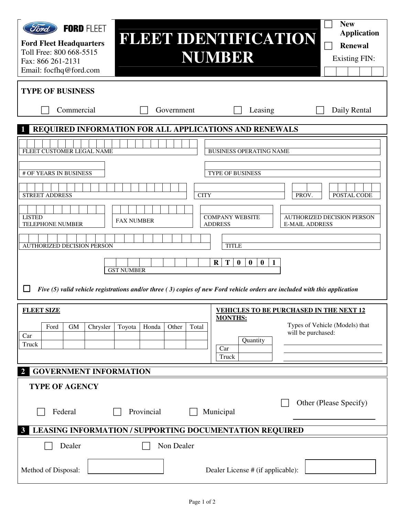| Ford<br><b>FORD FLEET</b><br><b>Ford Fleet Headquarters</b><br>Toll Free: 800 668-5515<br>Fax: 866 261-2131<br>Email: focfhq@ford.com                  | <b>FLEET IDENTIFICATION</b>                                                                                                                                                         | <b>NUMBER</b>                                                                                                                                                                       | <b>New</b><br><b>Application</b><br><b>Renewal</b><br><b>Existing FIN:</b>         |  |  |  |
|--------------------------------------------------------------------------------------------------------------------------------------------------------|-------------------------------------------------------------------------------------------------------------------------------------------------------------------------------------|-------------------------------------------------------------------------------------------------------------------------------------------------------------------------------------|------------------------------------------------------------------------------------|--|--|--|
| <b>TYPE OF BUSINESS</b>                                                                                                                                |                                                                                                                                                                                     |                                                                                                                                                                                     |                                                                                    |  |  |  |
| Commercial                                                                                                                                             | Government                                                                                                                                                                          | Leasing                                                                                                                                                                             | Daily Rental                                                                       |  |  |  |
|                                                                                                                                                        | REQUIRED INFORMATION FOR ALL APPLICATIONS AND RENEWALS                                                                                                                              |                                                                                                                                                                                     |                                                                                    |  |  |  |
| FLEET CUSTOMER LEGAL NAME<br># OF YEARS IN BUSINESS<br><b>STREET ADDRESS</b><br><b>LISTED</b><br>TELEPHONE NUMBER<br><b>AUTHORIZED DECISION PERSON</b> | <b>CITY</b><br><b>FAX NUMBER</b><br><b>GST NUMBER</b><br>Five (5) valid vehicle registrations and/or three (3) copies of new Ford vehicle orders are included with this application | <b>BUSINESS OPERATING NAME</b><br>TYPE OF BUSINESS<br><b>COMPANY WEBSITE</b><br><b>ADDRESS</b><br><b>TITLE</b><br>T<br>$\bf{0}$<br>$\bf{R}$<br>$\bf{0}$<br>$\bf{0}$<br>$\mathbf{1}$ | POSTAL CODE<br>PROV.<br><b>AUTHORIZED DECISION PERSON</b><br><b>E-MAIL ADDRESS</b> |  |  |  |
| <b>FLEET SIZE</b><br>Ford<br><b>GM</b><br>Chrysler<br>Car<br>Truck                                                                                     | Honda<br>Total<br>Toyota<br>Other                                                                                                                                                   | <b>VEHICLES TO BE PURCHASED IN THE NEXT 12</b><br><b>MONTHS:</b><br>Quantity<br>Car<br>Truck                                                                                        | Types of Vehicle (Models) that<br>will be purchased:                               |  |  |  |
| <b>GOVERNMENT INFORMATION</b><br>2                                                                                                                     |                                                                                                                                                                                     |                                                                                                                                                                                     |                                                                                    |  |  |  |
| <b>TYPE OF AGENCY</b><br>Federal<br>3                                                                                                                  | Provincial<br>LEASING INFORMATION / SUPPORTING DOCUMENTATION REQUIRED                                                                                                               | Municipal                                                                                                                                                                           | Other (Please Specify)                                                             |  |  |  |
| Dealer                                                                                                                                                 | Non Dealer                                                                                                                                                                          |                                                                                                                                                                                     |                                                                                    |  |  |  |
| Method of Disposal:                                                                                                                                    |                                                                                                                                                                                     | Dealer License # (if applicable):                                                                                                                                                   |                                                                                    |  |  |  |